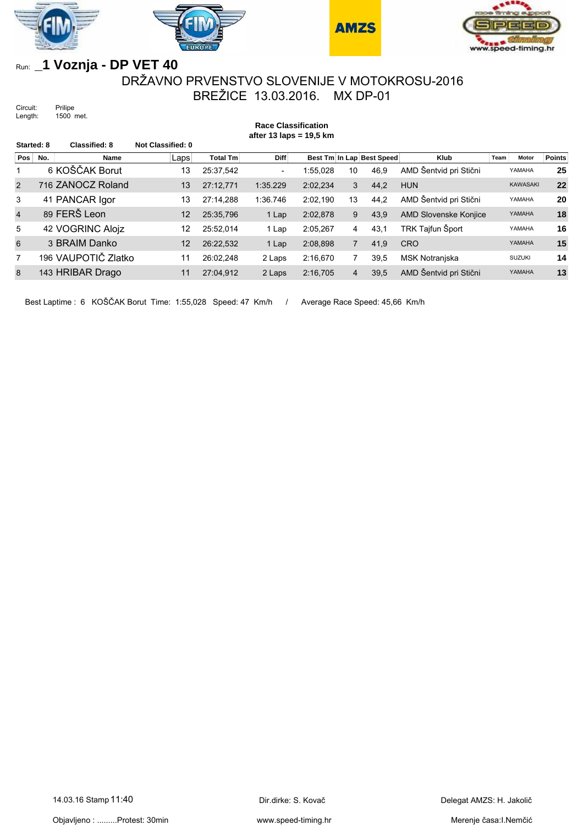







## Run: **\_1 Voznja - DP VET 40**

## DRŽAVNO PRVENSTVO SLOVENIJE V MOTOKROSU-2016 BREŽICE 13.03.2016. MX DP-01

**Race Classification**

Circuit: Prilipe Length: 1500 met.

**after 13 laps = 19,5 km Started: 8 Classified: 8 Not Classified: 0 Pos No. 6** Name **Laps** Total Tm Diff Best Tm In Lap Best Speed Klub Team Motor Points 6 KOŠČAK Borut 13 25:37,542 - 1:55,028 10 46,9 AMD Šentvid pri Stični YAMAHA **25** 716 ZANOCZ Roland 13 27:12,771 1:35.229 2:02,234 3 44,2 HUN KAWASAKI **22** 41 PANCAR Igor 13 27:14,288 1:36.746 2:02,190 13 44,2 AMD Šentvid pri Stični YAMAHA **20** 89 FERŠ Leon 12 25:35,796 1 Lap 2:02,878 9 43,9 AMD Slovenske Konjice YAMAHA **18** 42 VOGRINC Alojz 12 25:52,014 1 Lap 2:05,267 4 43,1 TRK Tajfun Šport YAMAHA **16** 3 BRAIM Danko 12 26:22,532 1 Lap 2:08,898 7 41,9 CRO YAMAHA **15** 196 VAUPOTIČ Zlatko 11 26:02,248 2 Laps 2:16,670 7 39,5 MSK Notranjska SUZUKI **14** 143 HRIBAR Drago 11 27:04,912 2 Laps 2:16,705 4 39,5 AMD Šentvid pri Stični YAMAHA **13**

Best Laptime : 6 KOŠČAK Borut Time: 1:55,028 Speed: 47 Km/h / Average Race Speed: 45,66 Km/h